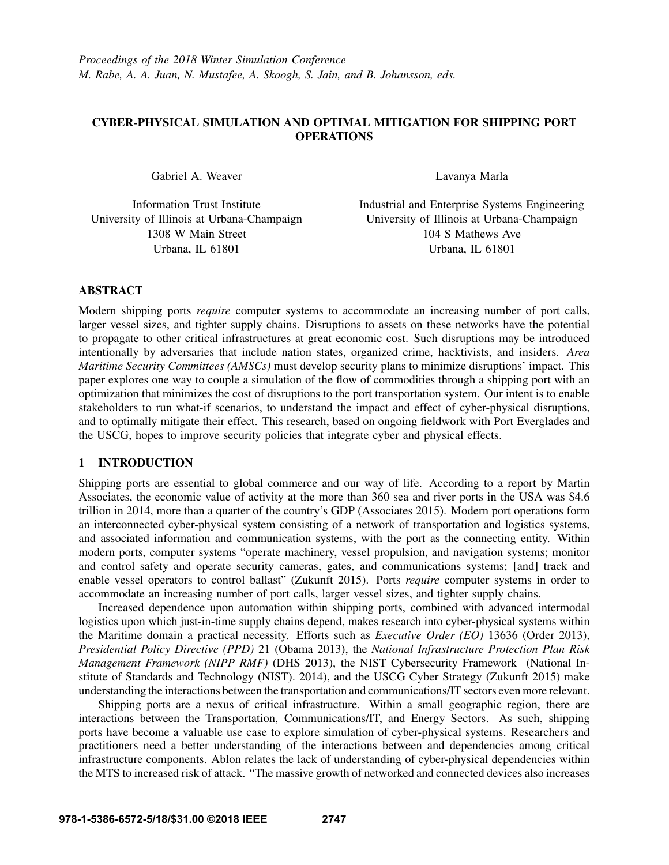# CYBER-PHYSICAL SIMULATION AND OPTIMAL MITIGATION FOR SHIPPING PORT **OPERATIONS**

Gabriel A. Weaver

Information Trust Institute University of Illinois at Urbana-Champaign 1308 W Main Street Urbana, IL 61801

Lavanya Marla

Industrial and Enterprise Systems Engineering University of Illinois at Urbana-Champaign 104 S Mathews Ave Urbana, IL 61801

### ABSTRACT

Modern shipping ports *require* computer systems to accommodate an increasing number of port calls, larger vessel sizes, and tighter supply chains. Disruptions to assets on these networks have the potential to propagate to other critical infrastructures at great economic cost. Such disruptions may be introduced intentionally by adversaries that include nation states, organized crime, hacktivists, and insiders. *Area Maritime Security Committees (AMSCs)* must develop security plans to minimize disruptions' impact. This paper explores one way to couple a simulation of the flow of commodities through a shipping port with an optimization that minimizes the cost of disruptions to the port transportation system. Our intent is to enable stakeholders to run what-if scenarios, to understand the impact and effect of cyber-physical disruptions, and to optimally mitigate their effect. This research, based on ongoing fieldwork with Port Everglades and the USCG, hopes to improve security policies that integrate cyber and physical effects.

# 1 INTRODUCTION

Shipping ports are essential to global commerce and our way of life. According to a report by Martin Associates, the economic value of activity at the more than 360 sea and river ports in the USA was \$4.6 trillion in 2014, more than a quarter of the country's GDP (Associates 2015). Modern port operations form an interconnected cyber-physical system consisting of a network of transportation and logistics systems, and associated information and communication systems, with the port as the connecting entity. Within modern ports, computer systems "operate machinery, vessel propulsion, and navigation systems; monitor and control safety and operate security cameras, gates, and communications systems; [and] track and enable vessel operators to control ballast" (Zukunft 2015). Ports *require* computer systems in order to accommodate an increasing number of port calls, larger vessel sizes, and tighter supply chains.

Increased dependence upon automation within shipping ports, combined with advanced intermodal logistics upon which just-in-time supply chains depend, makes research into cyber-physical systems within the Maritime domain a practical necessity. Efforts such as *Executive Order (EO)* 13636 (Order 2013), *Presidential Policy Directive (PPD)* 21 (Obama 2013), the *National Infrastructure Protection Plan Risk Management Framework (NIPP RMF)* (DHS 2013), the NIST Cybersecurity Framework (National Institute of Standards and Technology (NIST). 2014), and the USCG Cyber Strategy (Zukunft 2015) make understanding the interactions between the transportation and communications/IT sectors even more relevant.

Shipping ports are a nexus of critical infrastructure. Within a small geographic region, there are interactions between the Transportation, Communications/IT, and Energy Sectors. As such, shipping ports have become a valuable use case to explore simulation of cyber-physical systems. Researchers and practitioners need a better understanding of the interactions between and dependencies among critical infrastructure components. Ablon relates the lack of understanding of cyber-physical dependencies within the MTS to increased risk of attack. "The massive growth of networked and connected devices also increases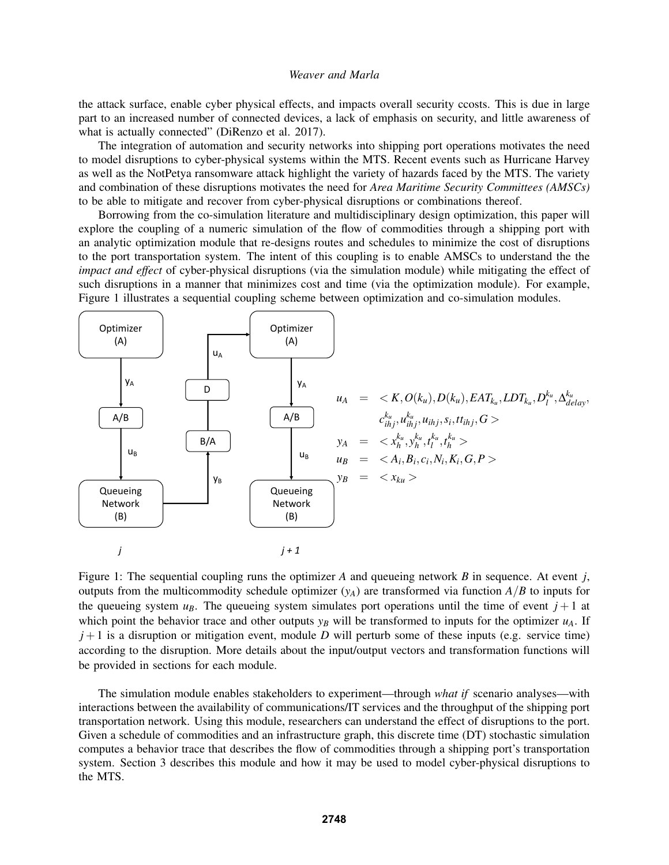the attack surface, enable cyber physical effects, and impacts overall security ccosts. This is due in large part to an increased number of connected devices, a lack of emphasis on security, and little awareness of what is actually connected" (DiRenzo et al. 2017).

The integration of automation and security networks into shipping port operations motivates the need to model disruptions to cyber-physical systems within the MTS. Recent events such as Hurricane Harvey as well as the NotPetya ransomware attack highlight the variety of hazards faced by the MTS. The variety and combination of these disruptions motivates the need for *Area Maritime Security Committees (AMSCs)* to be able to mitigate and recover from cyber-physical disruptions or combinations thereof.

Borrowing from the co-simulation literature and multidisciplinary design optimization, this paper will explore the coupling of a numeric simulation of the flow of commodities through a shipping port with an analytic optimization module that re-designs routes and schedules to minimize the cost of disruptions to the port transportation system. The intent of this coupling is to enable AMSCs to understand the the *impact and effect* of cyber-physical disruptions (via the simulation module) while mitigating the effect of such disruptions in a manner that minimizes cost and time (via the optimization module). For example, Figure 1 illustrates a sequential coupling scheme between optimization and co-simulation modules.



Figure 1: The sequential coupling runs the optimizer *A* and queueing network *B* in sequence. At event *j*, outputs from the multicommodity schedule optimizer  $(y_A)$  are transformed via function  $A/B$  to inputs for the queueing system  $u_B$ . The queueing system simulates port operations until the time of event  $j+1$  at which point the behavior trace and other outputs  $y_B$  will be transformed to inputs for the optimizer  $u_A$ . If  $j+1$  is a disruption or mitigation event, module *D* will perturb some of these inputs (e.g. service time) according to the disruption. More details about the input/output vectors and transformation functions will be provided in sections for each module.

The simulation module enables stakeholders to experiment—through *what if* scenario analyses—with interactions between the availability of communications/IT services and the throughput of the shipping port transportation network. Using this module, researchers can understand the effect of disruptions to the port. Given a schedule of commodities and an infrastructure graph, this discrete time (DT) stochastic simulation computes a behavior trace that describes the flow of commodities through a shipping port's transportation system. Section 3 describes this module and how it may be used to model cyber-physical disruptions to the MTS.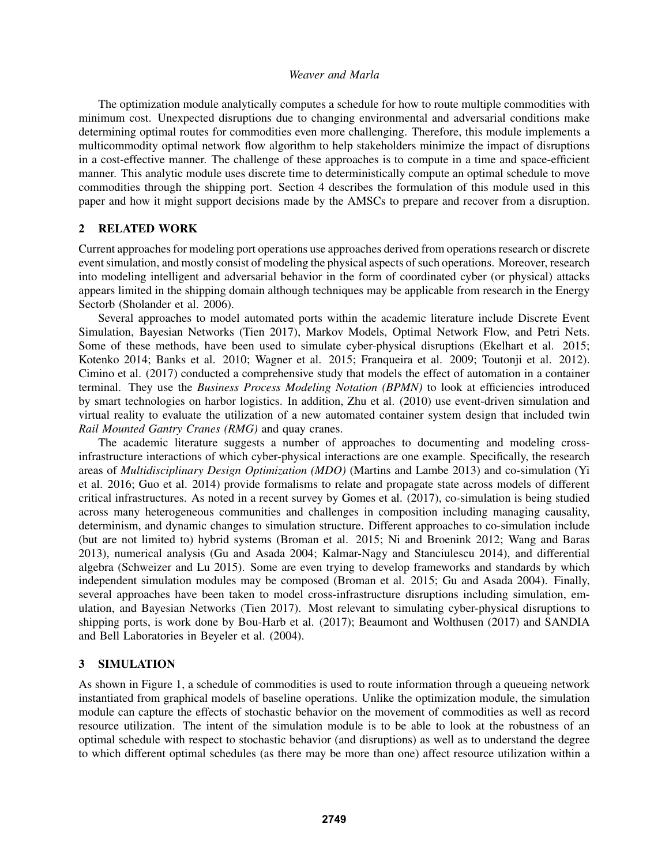The optimization module analytically computes a schedule for how to route multiple commodities with minimum cost. Unexpected disruptions due to changing environmental and adversarial conditions make determining optimal routes for commodities even more challenging. Therefore, this module implements a multicommodity optimal network flow algorithm to help stakeholders minimize the impact of disruptions in a cost-effective manner. The challenge of these approaches is to compute in a time and space-efficient manner. This analytic module uses discrete time to deterministically compute an optimal schedule to move commodities through the shipping port. Section 4 describes the formulation of this module used in this paper and how it might support decisions made by the AMSCs to prepare and recover from a disruption.

# 2 RELATED WORK

Current approaches for modeling port operations use approaches derived from operations research or discrete event simulation, and mostly consist of modeling the physical aspects of such operations. Moreover, research into modeling intelligent and adversarial behavior in the form of coordinated cyber (or physical) attacks appears limited in the shipping domain although techniques may be applicable from research in the Energy Sectorb (Sholander et al. 2006).

Several approaches to model automated ports within the academic literature include Discrete Event Simulation, Bayesian Networks (Tien 2017), Markov Models, Optimal Network Flow, and Petri Nets. Some of these methods, have been used to simulate cyber-physical disruptions (Ekelhart et al. 2015; Kotenko 2014; Banks et al. 2010; Wagner et al. 2015; Franqueira et al. 2009; Toutonji et al. 2012). Cimino et al. (2017) conducted a comprehensive study that models the effect of automation in a container terminal. They use the *Business Process Modeling Notation (BPMN)* to look at efficiencies introduced by smart technologies on harbor logistics. In addition, Zhu et al. (2010) use event-driven simulation and virtual reality to evaluate the utilization of a new automated container system design that included twin *Rail Mounted Gantry Cranes (RMG)* and quay cranes.

The academic literature suggests a number of approaches to documenting and modeling crossinfrastructure interactions of which cyber-physical interactions are one example. Specifically, the research areas of *Multidisciplinary Design Optimization (MDO)* (Martins and Lambe 2013) and co-simulation (Yi et al. 2016; Guo et al. 2014) provide formalisms to relate and propagate state across models of different critical infrastructures. As noted in a recent survey by Gomes et al. (2017), co-simulation is being studied across many heterogeneous communities and challenges in composition including managing causality, determinism, and dynamic changes to simulation structure. Different approaches to co-simulation include (but are not limited to) hybrid systems (Broman et al. 2015; Ni and Broenink 2012; Wang and Baras 2013), numerical analysis (Gu and Asada 2004; Kalmar-Nagy and Stanciulescu 2014), and differential algebra (Schweizer and Lu 2015). Some are even trying to develop frameworks and standards by which independent simulation modules may be composed (Broman et al. 2015; Gu and Asada 2004). Finally, several approaches have been taken to model cross-infrastructure disruptions including simulation, emulation, and Bayesian Networks (Tien 2017). Most relevant to simulating cyber-physical disruptions to shipping ports, is work done by Bou-Harb et al. (2017); Beaumont and Wolthusen (2017) and SANDIA and Bell Laboratories in Beyeler et al. (2004).

#### 3 SIMULATION

As shown in Figure 1, a schedule of commodities is used to route information through a queueing network instantiated from graphical models of baseline operations. Unlike the optimization module, the simulation module can capture the effects of stochastic behavior on the movement of commodities as well as record resource utilization. The intent of the simulation module is to be able to look at the robustness of an optimal schedule with respect to stochastic behavior (and disruptions) as well as to understand the degree to which different optimal schedules (as there may be more than one) affect resource utilization within a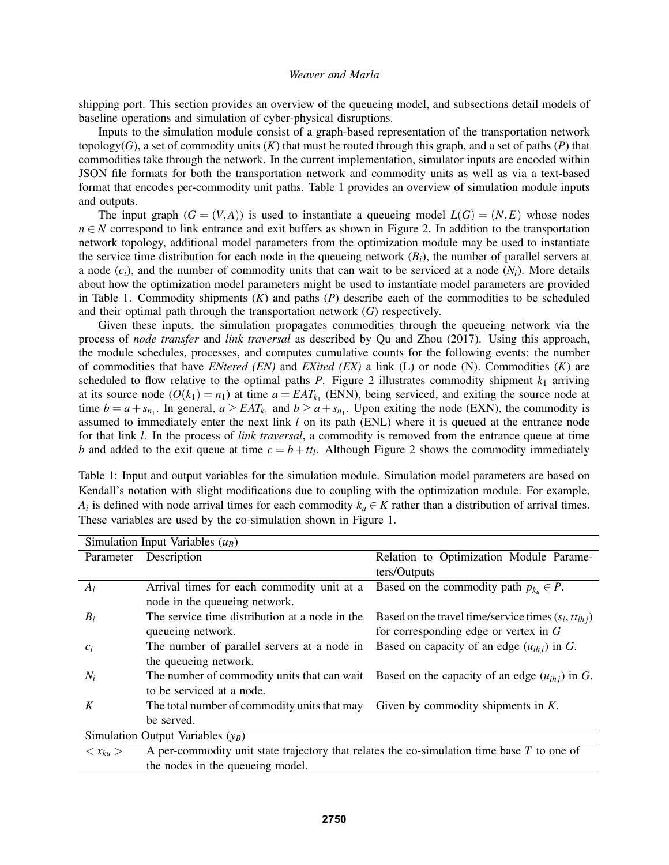shipping port. This section provides an overview of the queueing model, and subsections detail models of baseline operations and simulation of cyber-physical disruptions.

Inputs to the simulation module consist of a graph-based representation of the transportation network topology( $G$ ), a set of commodity units  $(K)$  that must be routed through this graph, and a set of paths  $(P)$  that commodities take through the network. In the current implementation, simulator inputs are encoded within JSON file formats for both the transportation network and commodity units as well as via a text-based format that encodes per-commodity unit paths. Table 1 provides an overview of simulation module inputs and outputs.

The input graph  $(G = (V, A))$  is used to instantiate a queueing model  $L(G) = (N, E)$  whose nodes *n* ∈ *N* correspond to link entrance and exit buffers as shown in Figure 2. In addition to the transportation network topology, additional model parameters from the optimization module may be used to instantiate the service time distribution for each node in the queueing network  $(B_i)$ , the number of parallel servers at a node  $(c_i)$ , and the number of commodity units that can wait to be serviced at a node  $(N_i)$ . More details about how the optimization model parameters might be used to instantiate model parameters are provided in Table 1. Commodity shipments (*K*) and paths (*P*) describe each of the commodities to be scheduled and their optimal path through the transportation network (*G*) respectively.

Given these inputs, the simulation propagates commodities through the queueing network via the process of *node transfer* and *link traversal* as described by Qu and Zhou (2017). Using this approach, the module schedules, processes, and computes cumulative counts for the following events: the number of commodities that have *ENtered (EN)* and *EXited (EX)* a link (L) or node (N). Commodities (*K*) are scheduled to flow relative to the optimal paths  $P$ . Figure 2 illustrates commodity shipment  $k_1$  arriving at its source node  $(O(k_1) = n_1)$  at time  $a = EAT_{k_1}$  (ENN), being serviced, and exiting the source node at time  $b = a + s_{n_1}$ . In general,  $a \geq EAT_{k_1}$  and  $b \geq a + s_{n_1}$ . Upon exiting the node (EXN), the commodity is assumed to immediately enter the next link *l* on its path (ENL) where it is queued at the entrance node for that link *l*. In the process of *link traversal*, a commodity is removed from the entrance queue at time *b* and added to the exit queue at time  $c = b + t t_l$ . Although Figure 2 shows the commodity immediately

Table 1: Input and output variables for the simulation module. Simulation model parameters are based on Kendall's notation with slight modifications due to coupling with the optimization module. For example, *A*<sup>*i*</sup> is defined with node arrival times for each commodity  $k_u \in K$  rather than a distribution of arrival times. These variables are used by the co-simulation shown in Figure 1.

| Simulation Input Variables $(u_B)$  |                                                                                              |                                                                                                |
|-------------------------------------|----------------------------------------------------------------------------------------------|------------------------------------------------------------------------------------------------|
| Parameter                           | Description                                                                                  | Relation to Optimization Module Parame-                                                        |
|                                     |                                                                                              | ters/Outputs                                                                                   |
| $A_i$                               | Arrival times for each commodity unit at a                                                   | Based on the commodity path $p_{k_n} \in P$ .                                                  |
|                                     | node in the queueing network.                                                                |                                                                                                |
| $B_i$                               | The service time distribution at a node in the                                               | Based on the travel time/service times $(s_i, tt_{ih})$                                        |
|                                     | queueing network.                                                                            | for corresponding edge or vertex in $G$                                                        |
| $c_i$                               | The number of parallel servers at a node in                                                  | Based on capacity of an edge $(u_{ih})$ in G.                                                  |
|                                     | the queueing network.                                                                        |                                                                                                |
| $N_i$                               |                                                                                              | The number of commodity units that can wait Based on the capacity of an edge $(u_{ihj})$ in G. |
|                                     | to be serviced at a node.                                                                    |                                                                                                |
| K                                   | The total number of commodity units that may                                                 | Given by commodity shipments in $K$ .                                                          |
|                                     | be served.                                                                                   |                                                                                                |
| Simulation Output Variables $(y_R)$ |                                                                                              |                                                                                                |
| $\langle x_{ku}\rangle$             | A per-commodity unit state trajectory that relates the co-simulation time base $T$ to one of |                                                                                                |
|                                     | the nodes in the queueing model.                                                             |                                                                                                |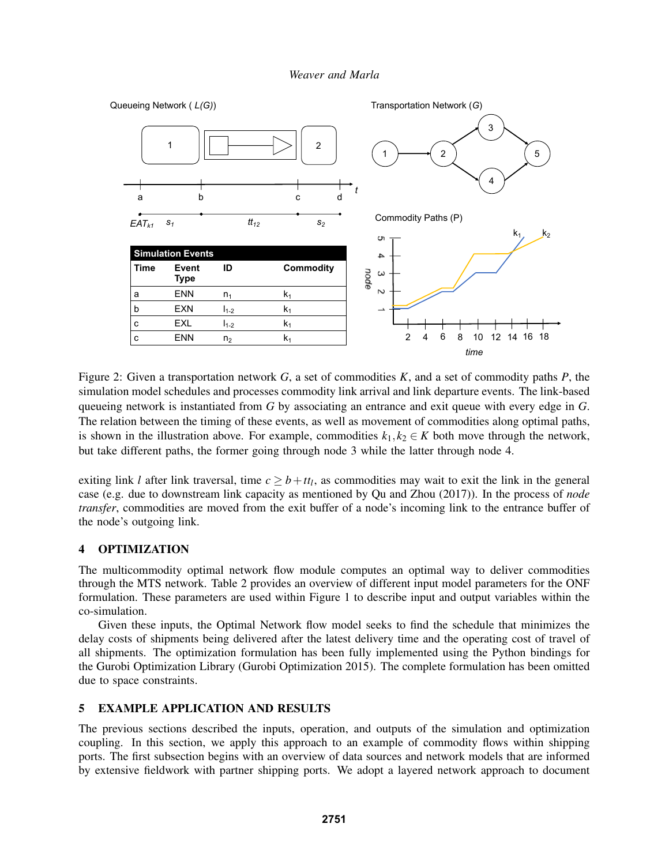

Figure 2: Given a transportation network *G*, a set of commodities *K*, and a set of commodity paths *P*, the simulation model schedules and processes commodity link arrival and link departure events. The link-based queueing network is instantiated from *G* by associating an entrance and exit queue with every edge in *G*. The relation between the timing of these events, as well as movement of commodities along optimal paths, is shown in the illustration above. For example, commodities  $k_1, k_2 \in K$  both move through the network, but take different paths, the former going through node 3 while the latter through node 4.

exiting link *l* after link traversal, time  $c \geq b + t_i$ , as commodities may wait to exit the link in the general case (e.g. due to downstream link capacity as mentioned by Qu and Zhou (2017)). In the process of *node transfer*, commodities are moved from the exit buffer of a node's incoming link to the entrance buffer of the node's outgoing link.

# 4 OPTIMIZATION

The multicommodity optimal network flow module computes an optimal way to deliver commodities through the MTS network. Table 2 provides an overview of different input model parameters for the ONF formulation. These parameters are used within Figure 1 to describe input and output variables within the co-simulation.

Given these inputs, the Optimal Network flow model seeks to find the schedule that minimizes the delay costs of shipments being delivered after the latest delivery time and the operating cost of travel of all shipments. The optimization formulation has been fully implemented using the Python bindings for the Gurobi Optimization Library (Gurobi Optimization 2015). The complete formulation has been omitted due to space constraints.

### 5 EXAMPLE APPLICATION AND RESULTS

The previous sections described the inputs, operation, and outputs of the simulation and optimization coupling. In this section, we apply this approach to an example of commodity flows within shipping ports. The first subsection begins with an overview of data sources and network models that are informed by extensive fieldwork with partner shipping ports. We adopt a layered network approach to document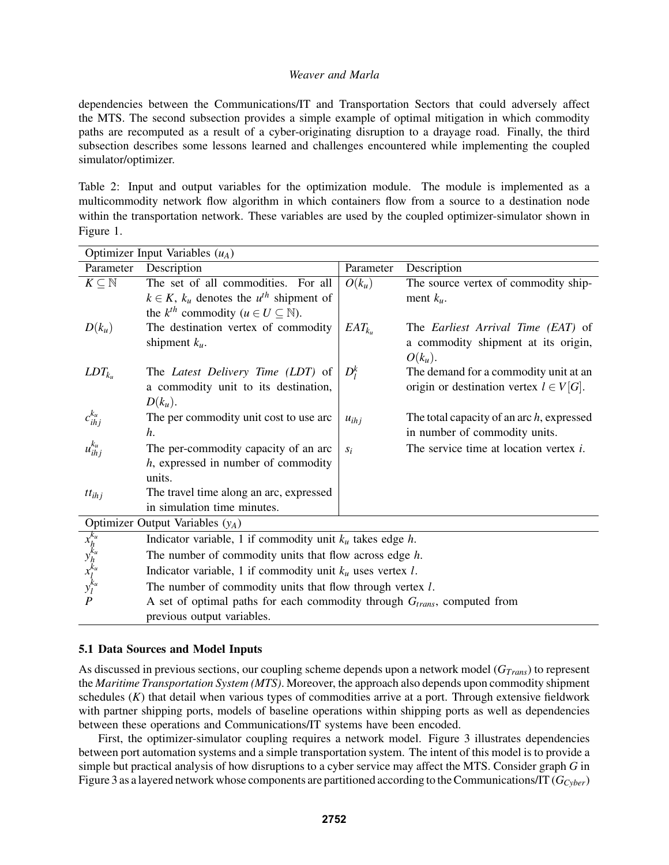dependencies between the Communications/IT and Transportation Sectors that could adversely affect the MTS. The second subsection provides a simple example of optimal mitigation in which commodity paths are recomputed as a result of a cyber-originating disruption to a drayage road. Finally, the third subsection describes some lessons learned and challenges encountered while implementing the coupled simulator/optimizer.

Table 2: Input and output variables for the optimization module. The module is implemented as a multicommodity network flow algorithm in which containers flow from a source to a destination node within the transportation network. These variables are used by the coupled optimizer-simulator shown in Figure 1.

| Description<br>Parameter<br>Description<br>Parameter<br>$K\subseteq\mathbb{N}$<br>The set of all commodities. For all<br>$O(k_u)$<br>The source vertex of commodity ship-<br>$k \in K$ , $k_u$ denotes the $u^{th}$ shipment of<br>ment $k_{\mu}$ .<br>the $k^{th}$ commodity ( $u \in U \subseteq \mathbb{N}$ ).<br>The destination vertex of commodity<br>$D(k_u)$<br>$EAT_{k_{u}}$<br>The Earliest Arrival Time (EAT) of<br>shipment $k_u$ .<br>a commodity shipment at its origin,<br>$O(k_u)$ . |  |  |
|------------------------------------------------------------------------------------------------------------------------------------------------------------------------------------------------------------------------------------------------------------------------------------------------------------------------------------------------------------------------------------------------------------------------------------------------------------------------------------------------------|--|--|
|                                                                                                                                                                                                                                                                                                                                                                                                                                                                                                      |  |  |
|                                                                                                                                                                                                                                                                                                                                                                                                                                                                                                      |  |  |
|                                                                                                                                                                                                                                                                                                                                                                                                                                                                                                      |  |  |
|                                                                                                                                                                                                                                                                                                                                                                                                                                                                                                      |  |  |
|                                                                                                                                                                                                                                                                                                                                                                                                                                                                                                      |  |  |
|                                                                                                                                                                                                                                                                                                                                                                                                                                                                                                      |  |  |
|                                                                                                                                                                                                                                                                                                                                                                                                                                                                                                      |  |  |
| $D_l^k$<br>The Latest Delivery Time (LDT) of<br>The demand for a commodity unit at an<br>$LDT_{k_u}$                                                                                                                                                                                                                                                                                                                                                                                                 |  |  |
| origin or destination vertex $l \in V[G]$ .<br>a commodity unit to its destination,                                                                                                                                                                                                                                                                                                                                                                                                                  |  |  |
| $D(k_u)$ .                                                                                                                                                                                                                                                                                                                                                                                                                                                                                           |  |  |
| $c_{ihj}^{k_u}$<br>The per commodity unit cost to use arc<br>The total capacity of an arc $h$ , expressed<br>$u_{ihj}$                                                                                                                                                                                                                                                                                                                                                                               |  |  |
| h.<br>in number of commodity units.                                                                                                                                                                                                                                                                                                                                                                                                                                                                  |  |  |
| $u_{ihj}^{k_u}$<br>The per-commodity capacity of an arc<br>The service time at location vertex $i$ .<br>$S_i$                                                                                                                                                                                                                                                                                                                                                                                        |  |  |
| $h$ , expressed in number of commodity                                                                                                                                                                                                                                                                                                                                                                                                                                                               |  |  |
| units.                                                                                                                                                                                                                                                                                                                                                                                                                                                                                               |  |  |
| The travel time along an arc, expressed<br>$tt_{ihj}$                                                                                                                                                                                                                                                                                                                                                                                                                                                |  |  |
| in simulation time minutes.                                                                                                                                                                                                                                                                                                                                                                                                                                                                          |  |  |
| Optimizer Output Variables $(y_A)$                                                                                                                                                                                                                                                                                                                                                                                                                                                                   |  |  |
| Indicator variable, 1 if commodity unit $k_u$ takes edge h.                                                                                                                                                                                                                                                                                                                                                                                                                                          |  |  |
| The number of commodity units that flow across edge $h$ .                                                                                                                                                                                                                                                                                                                                                                                                                                            |  |  |
| $x_{h}^{k_{u}}$<br>$y_{h}^{k_{u}}$<br>$x_{l}^{k_{u}}$<br>$y_{l}^{k_{u}}$<br>Indicator variable, 1 if commodity unit $k_u$ uses vertex l.                                                                                                                                                                                                                                                                                                                                                             |  |  |
| The number of commodity units that flow through vertex $l$ .                                                                                                                                                                                                                                                                                                                                                                                                                                         |  |  |
| P<br>A set of optimal paths for each commodity through $G_{trans}$ , computed from                                                                                                                                                                                                                                                                                                                                                                                                                   |  |  |
| previous output variables.                                                                                                                                                                                                                                                                                                                                                                                                                                                                           |  |  |

### 5.1 Data Sources and Model Inputs

As discussed in previous sections, our coupling scheme depends upon a network model (*GTrans*) to represent the *Maritime Transportation System (MTS)*. Moreover, the approach also depends upon commodity shipment schedules (*K*) that detail when various types of commodities arrive at a port. Through extensive fieldwork with partner shipping ports, models of baseline operations within shipping ports as well as dependencies between these operations and Communications/IT systems have been encoded.

First, the optimizer-simulator coupling requires a network model. Figure 3 illustrates dependencies between port automation systems and a simple transportation system. The intent of this model is to provide a simple but practical analysis of how disruptions to a cyber service may affect the MTS. Consider graph *G* in Figure 3 as a layered network whose components are partitioned according to the Communications/IT (*GCyber*)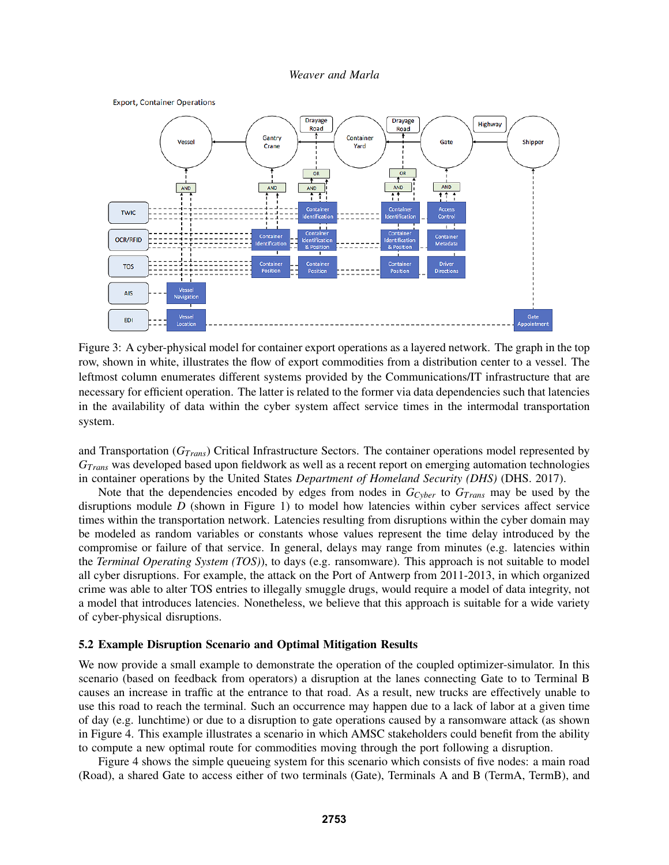

Figure 3: A cyber-physical model for container export operations as a layered network. The graph in the top row, shown in white, illustrates the flow of export commodities from a distribution center to a vessel. The leftmost column enumerates different systems provided by the Communications/IT infrastructure that are necessary for efficient operation. The latter is related to the former via data dependencies such that latencies in the availability of data within the cyber system affect service times in the intermodal transportation system.

and Transportation (*GTrans*) Critical Infrastructure Sectors. The container operations model represented by *GTrans* was developed based upon fieldwork as well as a recent report on emerging automation technologies in container operations by the United States *Department of Homeland Security (DHS)* (DHS. 2017).

Note that the dependencies encoded by edges from nodes in *GCyber* to *GTrans* may be used by the disruptions module *D* (shown in Figure 1) to model how latencies within cyber services affect service times within the transportation network. Latencies resulting from disruptions within the cyber domain may be modeled as random variables or constants whose values represent the time delay introduced by the compromise or failure of that service. In general, delays may range from minutes (e.g. latencies within the *Terminal Operating System (TOS)*), to days (e.g. ransomware). This approach is not suitable to model all cyber disruptions. For example, the attack on the Port of Antwerp from 2011-2013, in which organized crime was able to alter TOS entries to illegally smuggle drugs, would require a model of data integrity, not a model that introduces latencies. Nonetheless, we believe that this approach is suitable for a wide variety of cyber-physical disruptions.

#### 5.2 Example Disruption Scenario and Optimal Mitigation Results

We now provide a small example to demonstrate the operation of the coupled optimizer-simulator. In this scenario (based on feedback from operators) a disruption at the lanes connecting Gate to to Terminal B causes an increase in traffic at the entrance to that road. As a result, new trucks are effectively unable to use this road to reach the terminal. Such an occurrence may happen due to a lack of labor at a given time of day (e.g. lunchtime) or due to a disruption to gate operations caused by a ransomware attack (as shown in Figure 4. This example illustrates a scenario in which AMSC stakeholders could benefit from the ability to compute a new optimal route for commodities moving through the port following a disruption.

Figure 4 shows the simple queueing system for this scenario which consists of five nodes: a main road (Road), a shared Gate to access either of two terminals (Gate), Terminals A and B (TermA, TermB), and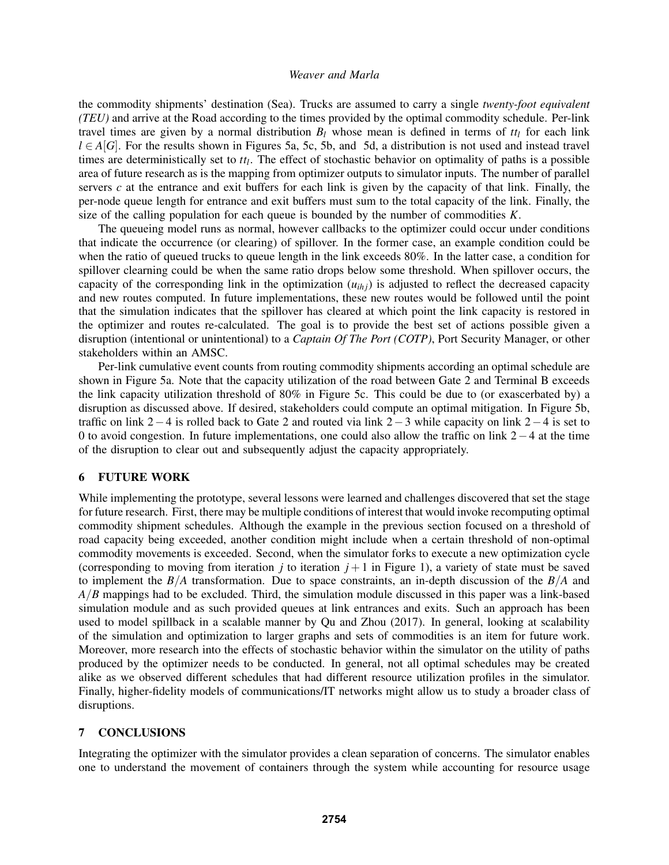the commodity shipments' destination (Sea). Trucks are assumed to carry a single *twenty-foot equivalent (TEU)* and arrive at the Road according to the times provided by the optimal commodity schedule. Per-link travel times are given by a normal distribution  $B_l$  whose mean is defined in terms of  $tt_l$  for each link *l* ∈ *A*[*G*]. For the results shown in Figures 5a, 5c, 5b, and 5d, a distribution is not used and instead travel times are deterministically set to *tt<sup>l</sup>* . The effect of stochastic behavior on optimality of paths is a possible area of future research as is the mapping from optimizer outputs to simulator inputs. The number of parallel servers  $c$  at the entrance and exit buffers for each link is given by the capacity of that link. Finally, the per-node queue length for entrance and exit buffers must sum to the total capacity of the link. Finally, the size of the calling population for each queue is bounded by the number of commodities *K*.

The queueing model runs as normal, however callbacks to the optimizer could occur under conditions that indicate the occurrence (or clearing) of spillover. In the former case, an example condition could be when the ratio of queued trucks to queue length in the link exceeds 80%. In the latter case, a condition for spillover clearning could be when the same ratio drops below some threshold. When spillover occurs, the capacity of the corresponding link in the optimization (*uih j*) is adjusted to reflect the decreased capacity and new routes computed. In future implementations, these new routes would be followed until the point that the simulation indicates that the spillover has cleared at which point the link capacity is restored in the optimizer and routes re-calculated. The goal is to provide the best set of actions possible given a disruption (intentional or unintentional) to a *Captain Of The Port (COTP)*, Port Security Manager, or other stakeholders within an AMSC.

Per-link cumulative event counts from routing commodity shipments according an optimal schedule are shown in Figure 5a. Note that the capacity utilization of the road between Gate 2 and Terminal B exceeds the link capacity utilization threshold of 80% in Figure 5c. This could be due to (or exascerbated by) a disruption as discussed above. If desired, stakeholders could compute an optimal mitigation. In Figure 5b, traffic on link 2−4 is rolled back to Gate 2 and routed via link 2−3 while capacity on link 2−4 is set to 0 to avoid congestion. In future implementations, one could also allow the traffic on link 2−4 at the time of the disruption to clear out and subsequently adjust the capacity appropriately.

# 6 FUTURE WORK

While implementing the prototype, several lessons were learned and challenges discovered that set the stage for future research. First, there may be multiple conditions of interest that would invoke recomputing optimal commodity shipment schedules. Although the example in the previous section focused on a threshold of road capacity being exceeded, another condition might include when a certain threshold of non-optimal commodity movements is exceeded. Second, when the simulator forks to execute a new optimization cycle (corresponding to moving from iteration  $j$  to iteration  $j + 1$  in Figure 1), a variety of state must be saved to implement the *B*/*A* transformation. Due to space constraints, an in-depth discussion of the *B*/*A* and *A*/*B* mappings had to be excluded. Third, the simulation module discussed in this paper was a link-based simulation module and as such provided queues at link entrances and exits. Such an approach has been used to model spillback in a scalable manner by Qu and Zhou (2017). In general, looking at scalability of the simulation and optimization to larger graphs and sets of commodities is an item for future work. Moreover, more research into the effects of stochastic behavior within the simulator on the utility of paths produced by the optimizer needs to be conducted. In general, not all optimal schedules may be created alike as we observed different schedules that had different resource utilization profiles in the simulator. Finally, higher-fidelity models of communications/IT networks might allow us to study a broader class of disruptions.

# 7 CONCLUSIONS

Integrating the optimizer with the simulator provides a clean separation of concerns. The simulator enables one to understand the movement of containers through the system while accounting for resource usage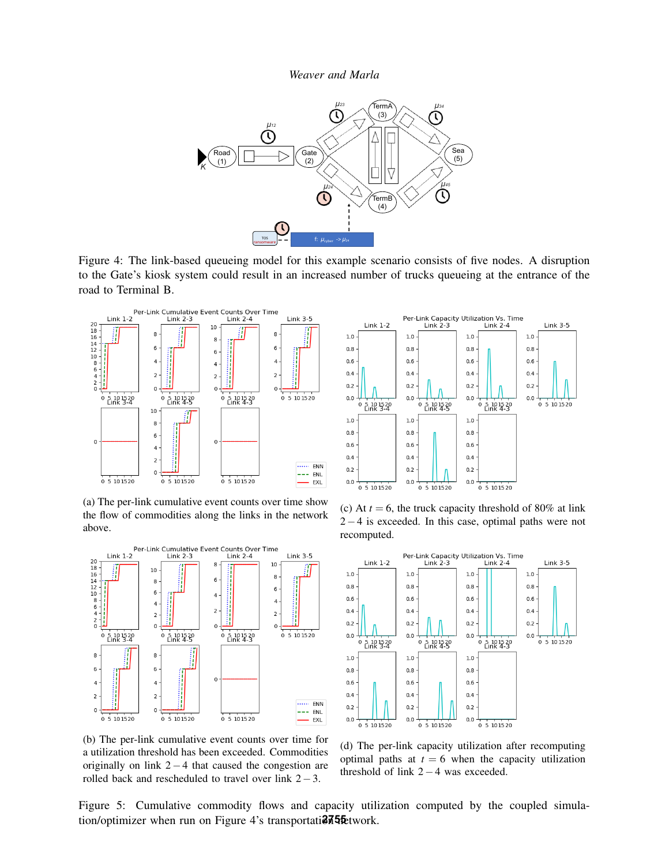

Figure 4: The link-based queueing model for this example scenario consists of five nodes. A disruption to the Gate's kiosk system could result in an increased number of trucks queueing at the entrance of the road to Terminal B.



(a) The per-link cumulative event counts over time show the flow of commodities along the links in the network above.





(c) At  $t = 6$ , the truck capacity threshold of 80% at link 2−4 is exceeded. In this case, optimal paths were not recomputed.



(b) The per-link cumulative event counts over time for a utilization threshold has been exceeded. Commodities originally on link 2−4 that caused the congestion are rolled back and rescheduled to travel over link 2−3.

(d) The per-link capacity utilization after recomputing optimal paths at  $t = 6$  when the capacity utilization threshold of link  $2-4$  was exceeded.

Figure 5: Cumulative commodity flows and capacity utilization computed by the coupled simulation/optimizer when run on Figure 4's transportati**and area** network.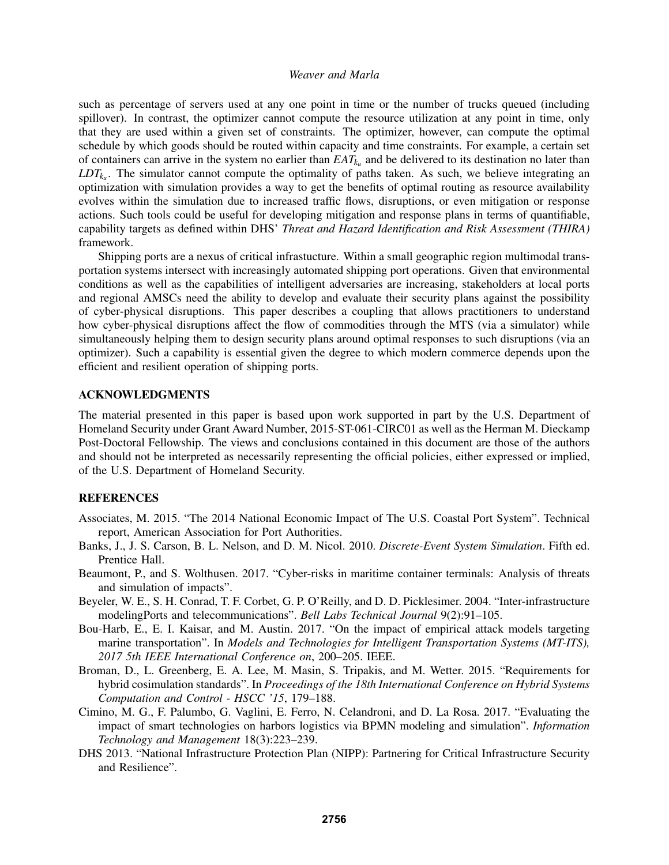such as percentage of servers used at any one point in time or the number of trucks queued (including spillover). In contrast, the optimizer cannot compute the resource utilization at any point in time, only that they are used within a given set of constraints. The optimizer, however, can compute the optimal schedule by which goods should be routed within capacity and time constraints. For example, a certain set of containers can arrive in the system no earlier than  $EAT_{k_u}$  and be delivered to its destination no later than  $LDT_{k<sub>u</sub>}$ . The simulator cannot compute the optimality of paths taken. As such, we believe integrating an optimization with simulation provides a way to get the benefits of optimal routing as resource availability evolves within the simulation due to increased traffic flows, disruptions, or even mitigation or response actions. Such tools could be useful for developing mitigation and response plans in terms of quantifiable, capability targets as defined within DHS' *Threat and Hazard Identification and Risk Assessment (THIRA)* framework.

Shipping ports are a nexus of critical infrastucture. Within a small geographic region multimodal transportation systems intersect with increasingly automated shipping port operations. Given that environmental conditions as well as the capabilities of intelligent adversaries are increasing, stakeholders at local ports and regional AMSCs need the ability to develop and evaluate their security plans against the possibility of cyber-physical disruptions. This paper describes a coupling that allows practitioners to understand how cyber-physical disruptions affect the flow of commodities through the MTS (via a simulator) while simultaneously helping them to design security plans around optimal responses to such disruptions (via an optimizer). Such a capability is essential given the degree to which modern commerce depends upon the efficient and resilient operation of shipping ports.

### ACKNOWLEDGMENTS

The material presented in this paper is based upon work supported in part by the U.S. Department of Homeland Security under Grant Award Number, 2015-ST-061-CIRC01 as well as the Herman M. Dieckamp Post-Doctoral Fellowship. The views and conclusions contained in this document are those of the authors and should not be interpreted as necessarily representing the official policies, either expressed or implied, of the U.S. Department of Homeland Security.

### **REFERENCES**

- Associates, M. 2015. "The 2014 National Economic Impact of The U.S. Coastal Port System". Technical report, American Association for Port Authorities.
- Banks, J., J. S. Carson, B. L. Nelson, and D. M. Nicol. 2010. *Discrete-Event System Simulation*. Fifth ed. Prentice Hall.
- Beaumont, P., and S. Wolthusen. 2017. "Cyber-risks in maritime container terminals: Analysis of threats and simulation of impacts".
- Beyeler, W. E., S. H. Conrad, T. F. Corbet, G. P. O'Reilly, and D. D. Picklesimer. 2004. "Inter-infrastructure modelingPorts and telecommunications". *Bell Labs Technical Journal* 9(2):91–105.
- Bou-Harb, E., E. I. Kaisar, and M. Austin. 2017. "On the impact of empirical attack models targeting marine transportation". In *Models and Technologies for Intelligent Transportation Systems (MT-ITS), 2017 5th IEEE International Conference on*, 200–205. IEEE.
- Broman, D., L. Greenberg, E. A. Lee, M. Masin, S. Tripakis, and M. Wetter. 2015. "Requirements for hybrid cosimulation standards". In *Proceedings of the 18th International Conference on Hybrid Systems Computation and Control - HSCC '15*, 179–188.
- Cimino, M. G., F. Palumbo, G. Vaglini, E. Ferro, N. Celandroni, and D. La Rosa. 2017. "Evaluating the impact of smart technologies on harbors logistics via BPMN modeling and simulation". *Information Technology and Management* 18(3):223–239.
- DHS 2013. "National Infrastructure Protection Plan (NIPP): Partnering for Critical Infrastructure Security and Resilience".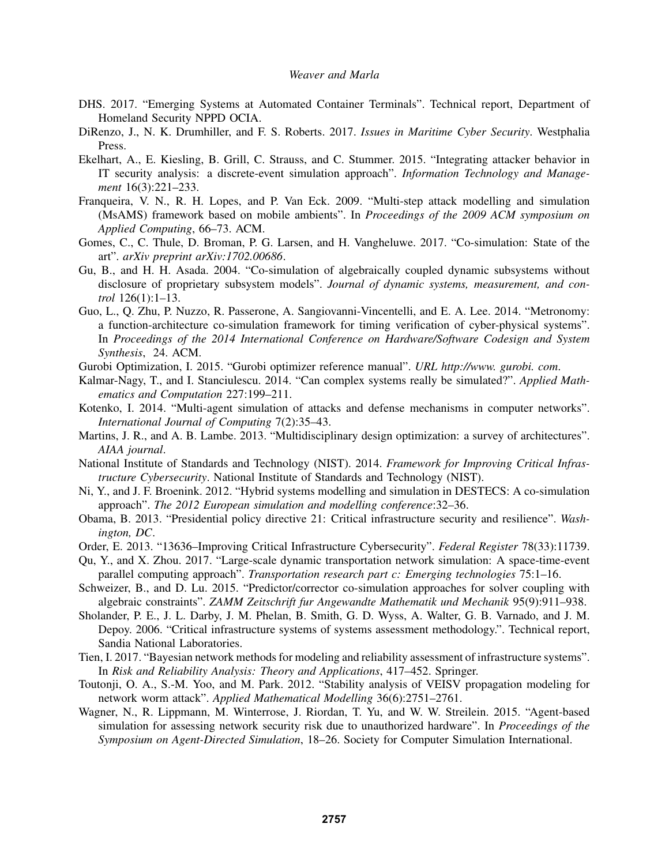- DHS. 2017. "Emerging Systems at Automated Container Terminals". Technical report, Department of Homeland Security NPPD OCIA.
- DiRenzo, J., N. K. Drumhiller, and F. S. Roberts. 2017. *Issues in Maritime Cyber Security*. Westphalia Press.
- Ekelhart, A., E. Kiesling, B. Grill, C. Strauss, and C. Stummer. 2015. "Integrating attacker behavior in IT security analysis: a discrete-event simulation approach". *Information Technology and Management* 16(3):221–233.
- Franqueira, V. N., R. H. Lopes, and P. Van Eck. 2009. "Multi-step attack modelling and simulation (MsAMS) framework based on mobile ambients". In *Proceedings of the 2009 ACM symposium on Applied Computing*, 66–73. ACM.
- Gomes, C., C. Thule, D. Broman, P. G. Larsen, and H. Vangheluwe. 2017. "Co-simulation: State of the art". *arXiv preprint arXiv:1702.00686*.
- Gu, B., and H. H. Asada. 2004. "Co-simulation of algebraically coupled dynamic subsystems without disclosure of proprietary subsystem models". *Journal of dynamic systems, measurement, and control* 126(1):1–13.
- Guo, L., Q. Zhu, P. Nuzzo, R. Passerone, A. Sangiovanni-Vincentelli, and E. A. Lee. 2014. "Metronomy: a function-architecture co-simulation framework for timing verification of cyber-physical systems". In *Proceedings of the 2014 International Conference on Hardware/Software Codesign and System Synthesis*, 24. ACM.
- Gurobi Optimization, I. 2015. "Gurobi optimizer reference manual". *URL http://www. gurobi. com*.
- Kalmar-Nagy, T., and I. Stanciulescu. 2014. "Can complex systems really be simulated?". *Applied Mathematics and Computation* 227:199–211.
- Kotenko, I. 2014. "Multi-agent simulation of attacks and defense mechanisms in computer networks". *International Journal of Computing* 7(2):35–43.
- Martins, J. R., and A. B. Lambe. 2013. "Multidisciplinary design optimization: a survey of architectures". *AIAA journal*.
- National Institute of Standards and Technology (NIST). 2014. *Framework for Improving Critical Infrastructure Cybersecurity*. National Institute of Standards and Technology (NIST).
- Ni, Y., and J. F. Broenink. 2012. "Hybrid systems modelling and simulation in DESTECS: A co-simulation approach". *The 2012 European simulation and modelling conference*:32–36.
- Obama, B. 2013. "Presidential policy directive 21: Critical infrastructure security and resilience". *Washington, DC*.
- Order, E. 2013. "13636–Improving Critical Infrastructure Cybersecurity". *Federal Register* 78(33):11739.
- Qu, Y., and X. Zhou. 2017. "Large-scale dynamic transportation network simulation: A space-time-event parallel computing approach". *Transportation research part c: Emerging technologies* 75:1–16.
- Schweizer, B., and D. Lu. 2015. "Predictor/corrector co-simulation approaches for solver coupling with algebraic constraints". *ZAMM Zeitschrift fur Angewandte Mathematik und Mechanik* 95(9):911–938.
- Sholander, P. E., J. L. Darby, J. M. Phelan, B. Smith, G. D. Wyss, A. Walter, G. B. Varnado, and J. M. Depoy. 2006. "Critical infrastructure systems of systems assessment methodology.". Technical report, Sandia National Laboratories.
- Tien, I. 2017. "Bayesian network methods for modeling and reliability assessment of infrastructure systems". In *Risk and Reliability Analysis: Theory and Applications*, 417–452. Springer.
- Toutonji, O. A., S.-M. Yoo, and M. Park. 2012. "Stability analysis of VEISV propagation modeling for network worm attack". *Applied Mathematical Modelling* 36(6):2751–2761.
- Wagner, N., R. Lippmann, M. Winterrose, J. Riordan, T. Yu, and W. W. Streilein. 2015. "Agent-based simulation for assessing network security risk due to unauthorized hardware". In *Proceedings of the Symposium on Agent-Directed Simulation*, 18–26. Society for Computer Simulation International.